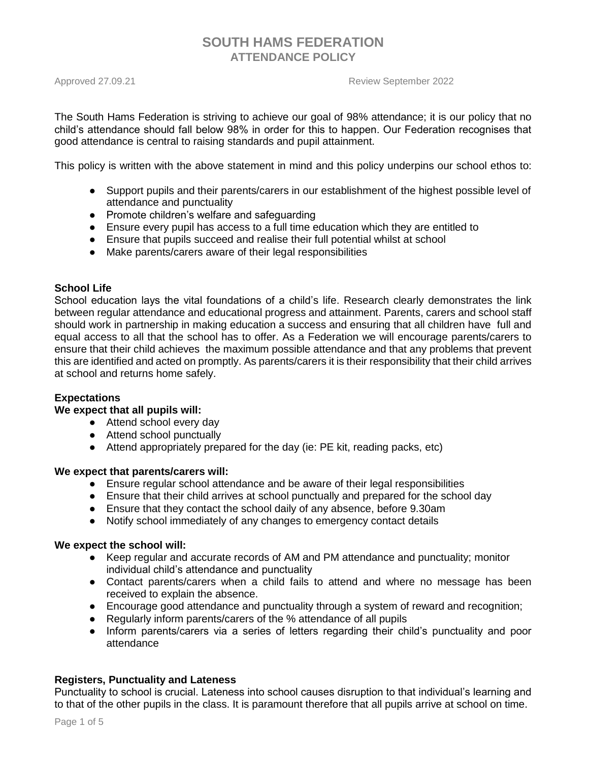Approved 27.09.21 Review September 2022

The South Hams Federation is striving to achieve our goal of 98% attendance; it is our policy that no child's attendance should fall below 98% in order for this to happen. Our Federation recognises that good attendance is central to raising standards and pupil attainment.

This policy is written with the above statement in mind and this policy underpins our school ethos to:

- Support pupils and their parents/carers in our establishment of the highest possible level of attendance and punctuality
- Promote children's welfare and safeguarding
- Ensure every pupil has access to a full time education which they are entitled to
- Ensure that pupils succeed and realise their full potential whilst at school
- Make parents/carers aware of their legal responsibilities

### **School Life**

School education lays the vital foundations of a child's life. Research clearly demonstrates the link between regular attendance and educational progress and attainment. Parents, carers and school staff should work in partnership in making education a success and ensuring that all children have full and equal access to all that the school has to offer. As a Federation we will encourage parents/carers to ensure that their child achieves the maximum possible attendance and that any problems that prevent this are identified and acted on promptly. As parents/carers it is their responsibility that their child arrives at school and returns home safely.

### **Expectations**

### **We expect that all pupils will:**

- Attend school every day
- Attend school punctually
- Attend appropriately prepared for the day (ie: PE kit, reading packs, etc)

### **We expect that parents/carers will:**

- Ensure regular school attendance and be aware of their legal responsibilities
- Ensure that their child arrives at school punctually and prepared for the school day
- Ensure that they contact the school daily of any absence, before 9.30am
- Notify school immediately of any changes to emergency contact details

### **We expect the school will:**

- Keep regular and accurate records of AM and PM attendance and punctuality; monitor individual child's attendance and punctuality
- Contact parents/carers when a child fails to attend and where no message has been received to explain the absence.
- Encourage good attendance and punctuality through a system of reward and recognition;
- Regularly inform parents/carers of the % attendance of all pupils
- Inform parents/carers via a series of letters regarding their child's punctuality and poor attendance

### **Registers, Punctuality and Lateness**

Punctuality to school is crucial. Lateness into school causes disruption to that individual's learning and to that of the other pupils in the class. It is paramount therefore that all pupils arrive at school on time.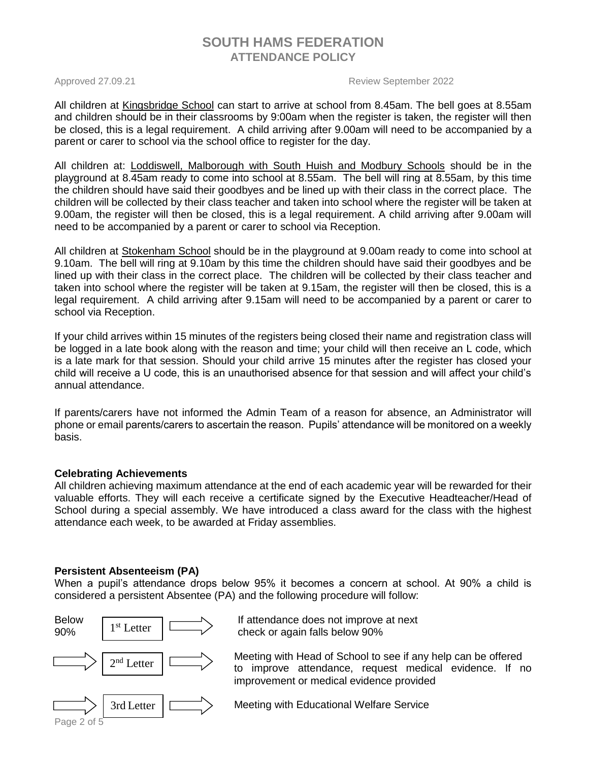Approved 27.09.21 **Approved 27.09.21 Review September 2022** 

All children at Kingsbridge School can start to arrive at school from 8.45am. The bell goes at 8.55am and children should be in their classrooms by 9:00am when the register is taken, the register will then be closed, this is a legal requirement. A child arriving after 9.00am will need to be accompanied by a parent or carer to school via the school office to register for the day.

All children at: Loddiswell, Malborough with South Huish and Modbury Schools should be in the playground at 8.45am ready to come into school at 8.55am. The bell will ring at 8.55am, by this time the children should have said their goodbyes and be lined up with their class in the correct place. The children will be collected by their class teacher and taken into school where the register will be taken at 9.00am, the register will then be closed, this is a legal requirement. A child arriving after 9.00am will need to be accompanied by a parent or carer to school via Reception.

All children at Stokenham School should be in the playground at 9.00am ready to come into school at 9.10am. The bell will ring at 9.10am by this time the children should have said their goodbyes and be lined up with their class in the correct place. The children will be collected by their class teacher and taken into school where the register will be taken at 9.15am, the register will then be closed, this is a legal requirement. A child arriving after 9.15am will need to be accompanied by a parent or carer to school via Reception.

If your child arrives within 15 minutes of the registers being closed their name and registration class will be logged in a late book along with the reason and time; your child will then receive an L code, which is a late mark for that session. Should your child arrive 15 minutes after the register has closed your child will receive a U code, this is an unauthorised absence for that session and will affect your child's annual attendance.

If parents/carers have not informed the Admin Team of a reason for absence, an Administrator will phone or email parents/carers to ascertain the reason. Pupils' attendance will be monitored on a weekly basis.

## **Celebrating Achievements**

All children achieving maximum attendance at the end of each academic year will be rewarded for their valuable efforts. They will each receive a certificate signed by the Executive Headteacher/Head of School during a special assembly. We have introduced a class award for the class with the highest attendance each week, to be awarded at Friday assemblies.

## **Persistent Absenteeism (PA)**

When a pupil's attendance drops below 95% it becomes a concern at school. At 90% a child is considered a persistent Absentee (PA) and the following procedure will follow:

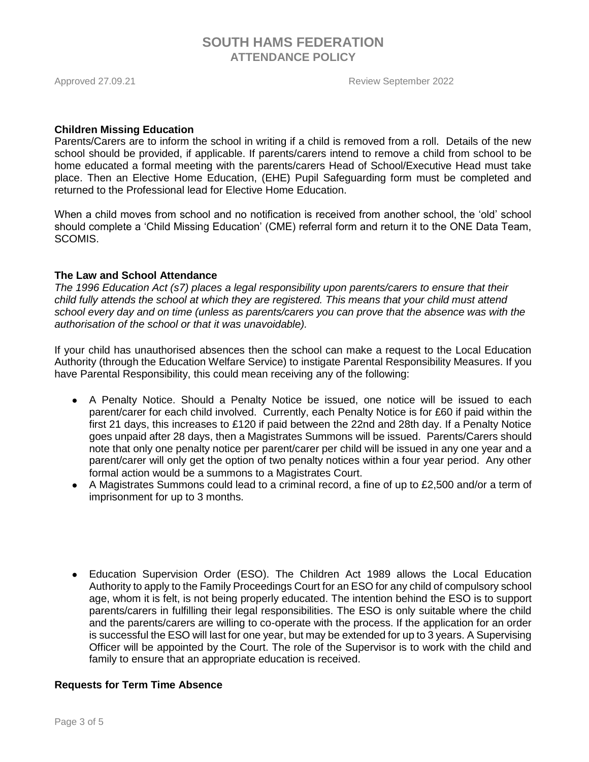Approved 27.09.21 **Approved 27.09.21 Review September 2022** 

#### **Children Missing Education**

Parents/Carers are to inform the school in writing if a child is removed from a roll. Details of the new school should be provided, if applicable. If parents/carers intend to remove a child from school to be home educated a formal meeting with the parents/carers Head of School/Executive Head must take place. Then an Elective Home Education, (EHE) Pupil Safeguarding form must be completed and returned to the Professional lead for Elective Home Education.

When a child moves from school and no notification is received from another school, the 'old' school should complete a 'Child Missing Education' (CME) referral form and return it to the ONE Data Team, SCOMIS.

### **The Law and School Attendance**

*The 1996 Education Act (s7) places a legal responsibility upon parents/carers to ensure that their child fully attends the school at which they are registered. This means that your child must attend school every day and on time (unless as parents/carers you can prove that the absence was with the authorisation of the school or that it was unavoidable).*

If your child has unauthorised absences then the school can make a request to the Local Education Authority (through the Education Welfare Service) to instigate Parental Responsibility Measures. If you have Parental Responsibility, this could mean receiving any of the following:

- A Penalty Notice. Should a Penalty Notice be issued, one notice will be issued to each parent/carer for each child involved. Currently, each Penalty Notice is for £60 if paid within the first 21 days, this increases to £120 if paid between the 22nd and 28th day. If a Penalty Notice goes unpaid after 28 days, then a Magistrates Summons will be issued. Parents/Carers should note that only one penalty notice per parent/carer per child will be issued in any one year and a parent/carer will only get the option of two penalty notices within a four year period. Any other formal action would be a summons to a Magistrates Court.
- $\bullet$  A Magistrates Summons could lead to a criminal record, a fine of up to £2,500 and/or a term of imprisonment for up to 3 months.
- Education Supervision Order (ESO). The Children Act 1989 allows the Local Education Authority to apply to the Family Proceedings Court for an ESO for any child of compulsory school age, whom it is felt, is not being properly educated. The intention behind the ESO is to support parents/carers in fulfilling their legal responsibilities. The ESO is only suitable where the child and the parents/carers are willing to co-operate with the process. If the application for an order is successful the ESO will last for one year, but may be extended for up to 3 years. A Supervising Officer will be appointed by the Court. The role of the Supervisor is to work with the child and family to ensure that an appropriate education is received.

## **Requests for Term Time Absence**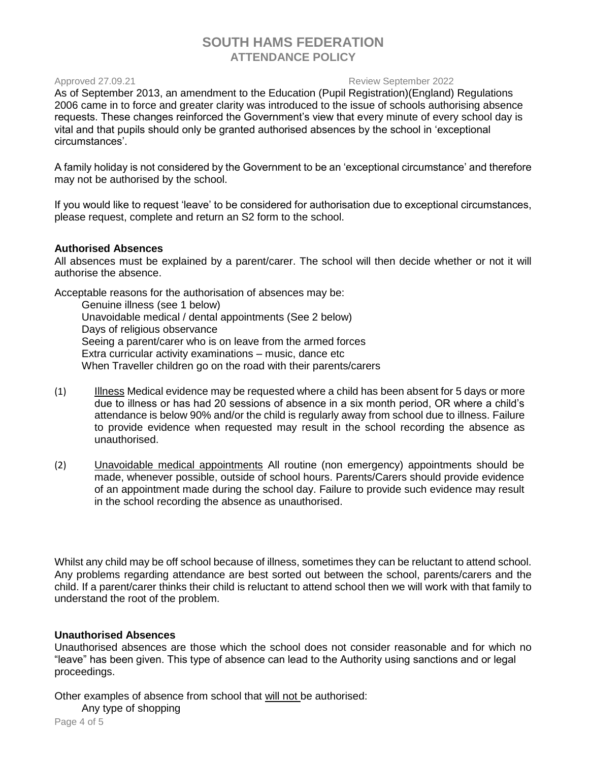#### Approved 27.09.21 Review September 2022

As of September 2013, an amendment to the Education (Pupil Registration)(England) Regulations 2006 came in to force and greater clarity was introduced to the issue of schools authorising absence requests. These changes reinforced the Government's view that every minute of every school day is vital and that pupils should only be granted authorised absences by the school in 'exceptional circumstances'.

A family holiday is not considered by the Government to be an 'exceptional circumstance' and therefore may not be authorised by the school.

If you would like to request 'leave' to be considered for authorisation due to exceptional circumstances, please request, complete and return an S2 form to the school.

#### **Authorised Absences**

All absences must be explained by a parent/carer. The school will then decide whether or not it will authorise the absence.

Acceptable reasons for the authorisation of absences may be:

Genuine illness (see 1 below) Unavoidable medical / dental appointments (See 2 below) Days of religious observance Seeing a parent/carer who is on leave from the armed forces Extra curricular activity examinations – music, dance etc When Traveller children go on the road with their parents/carers

- (1) Illness Medical evidence may be requested where a child has been absent for 5 days or more due to illness or has had 20 sessions of absence in a six month period, OR where a child's attendance is below 90% and/or the child is regularly away from school due to illness. Failure to provide evidence when requested may result in the school recording the absence as unauthorised.
- (2) Unavoidable medical appointments All routine (non emergency) appointments should be made, whenever possible, outside of school hours. Parents/Carers should provide evidence of an appointment made during the school day. Failure to provide such evidence may result in the school recording the absence as unauthorised.

Whilst any child may be off school because of illness, sometimes they can be reluctant to attend school. Any problems regarding attendance are best sorted out between the school, parents/carers and the child. If a parent/carer thinks their child is reluctant to attend school then we will work with that family to understand the root of the problem.

## **Unauthorised Absences**

Unauthorised absences are those which the school does not consider reasonable and for which no "leave" has been given. This type of absence can lead to the Authority using sanctions and or legal proceedings.

Other examples of absence from school that will not be authorised:

Any type of shopping